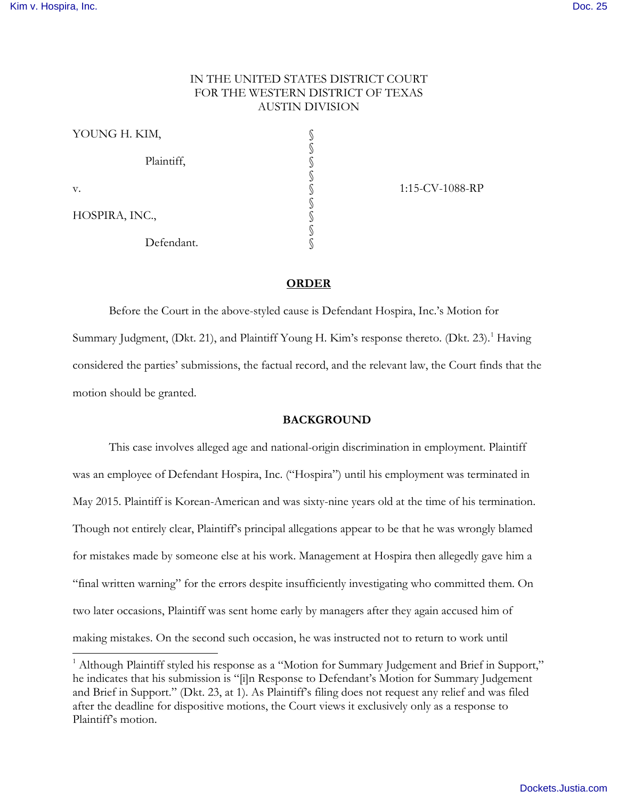$\overline{a}$ 

# IN THE UNITED STATES DISTRICT COURT FOR THE WESTERN DISTRICT OF TEXAS AUSTIN DIVISION

| YOUNG H. KIM,  |  |
|----------------|--|
| Plaintiff,     |  |
| v.             |  |
| HOSPIRA, INC., |  |
| Defendant.     |  |

1:15-CV-1088-RP

# **ORDER**

Before the Court in the above-styled cause is Defendant Hospira, Inc.'s Motion for Summary Judgment, (Dkt. 2[1](#page-0-0)), and Plaintiff Young H. Kim's response thereto. (Dkt. 23).<sup>1</sup> Having considered the parties' submissions, the factual record, and the relevant law, the Court finds that the motion should be granted.

#### **BACKGROUND**

This case involves alleged age and national-origin discrimination in employment. Plaintiff was an employee of Defendant Hospira, Inc. ("Hospira") until his employment was terminated in May 2015. Plaintiff is Korean-American and was sixty-nine years old at the time of his termination. Though not entirely clear, Plaintiff's principal allegations appear to be that he was wrongly blamed for mistakes made by someone else at his work. Management at Hospira then allegedly gave him a "final written warning" for the errors despite insufficiently investigating who committed them. On two later occasions, Plaintiff was sent home early by managers after they again accused him of making mistakes. On the second such occasion, he was instructed not to return to work until

<span id="page-0-0"></span><sup>&</sup>lt;sup>1</sup> Although Plaintiff styled his response as a "Motion for Summary Judgement and Brief in Support," he indicates that his submission is "[i]n Response to Defendant's Motion for Summary Judgement and Brief in Support." (Dkt. 23, at 1). As Plaintiff's filing does not request any relief and was filed after the deadline for dispositive motions, the Court views it exclusively only as a response to Plaintiff's motion.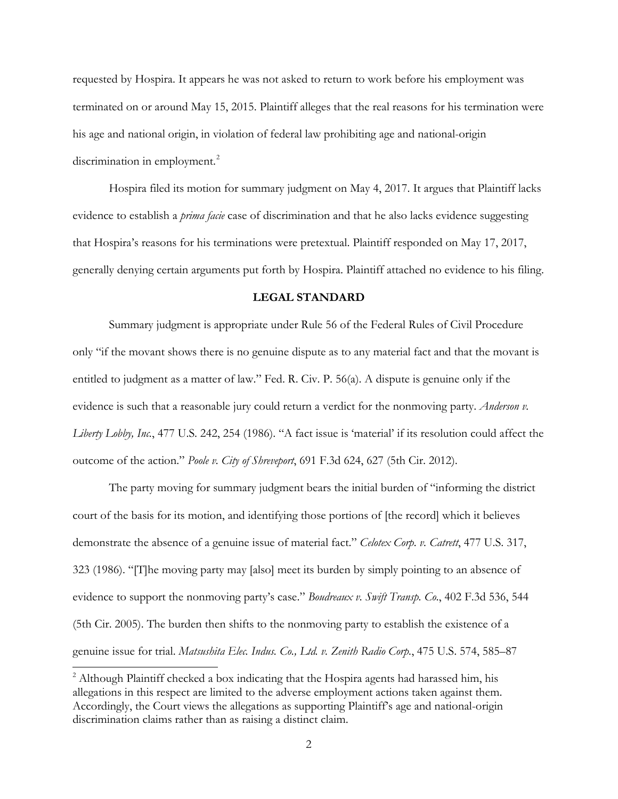requested by Hospira. It appears he was not asked to return to work before his employment was terminated on or around May 15, 2015. Plaintiff alleges that the real reasons for his termination were his age and national origin, in violation of federal law prohibiting age and national-origin discrimination in employment.<sup>[2](#page-1-0)</sup>

Hospira filed its motion for summary judgment on May 4, 2017. It argues that Plaintiff lacks evidence to establish a *prima facie* case of discrimination and that he also lacks evidence suggesting that Hospira's reasons for his terminations were pretextual. Plaintiff responded on May 17, 2017, generally denying certain arguments put forth by Hospira. Plaintiff attached no evidence to his filing.

## **LEGAL STANDARD**

Summary judgment is appropriate under Rule 56 of the Federal Rules of Civil Procedure only "if the movant shows there is no genuine dispute as to any material fact and that the movant is entitled to judgment as a matter of law." Fed. R. Civ. P. 56(a). A dispute is genuine only if the evidence is such that a reasonable jury could return a verdict for the nonmoving party. *Anderson v. Liberty Lobby, Inc.*, 477 U.S. 242, 254 (1986). "A fact issue is 'material' if its resolution could affect the outcome of the action." *Poole v. City of Shreveport*, 691 F.3d 624, 627 (5th Cir. 2012).

 The party moving for summary judgment bears the initial burden of "informing the district court of the basis for its motion, and identifying those portions of [the record] which it believes demonstrate the absence of a genuine issue of material fact." *Celotex Corp. v. Catrett*, 477 U.S. 317, 323 (1986). "[T]he moving party may [also] meet its burden by simply pointing to an absence of evidence to support the nonmoving party's case." *Boudreaux v. Swift Transp. Co*., 402 F.3d 536, 544 (5th Cir. 2005). The burden then shifts to the nonmoving party to establish the existence of a genuine issue for trial. *Matsushita Elec. Indus. Co., Ltd. v. Zenith Radio Corp.*, 475 U.S. 574, 585–87

 $\overline{a}$ 

<span id="page-1-0"></span><sup>&</sup>lt;sup>2</sup> Although Plaintiff checked a box indicating that the Hospira agents had harassed him, his allegations in this respect are limited to the adverse employment actions taken against them. Accordingly, the Court views the allegations as supporting Plaintiff's age and national-origin discrimination claims rather than as raising a distinct claim.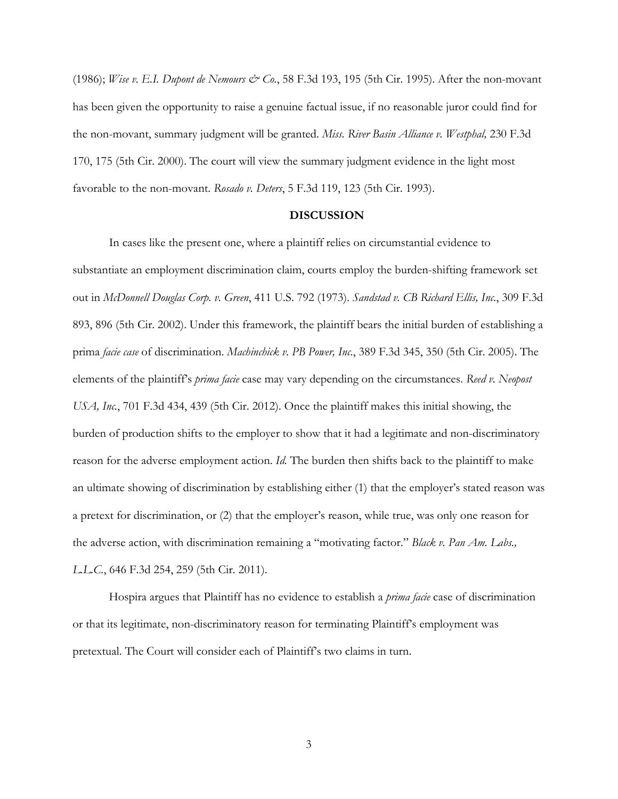(1986); *Wise v. E.I. Dupont de Nemours & Co.*, 58 F.3d 193, 195 (5th Cir. 1995). After the non-movant has been given the opportunity to raise a genuine factual issue, if no reasonable juror could find for the non-movant, summary judgment will be granted. *Miss. River Basin Alliance v. Westphal,* 230 F.3d 170, 175 (5th Cir. 2000). The court will view the summary judgment evidence in the light most favorable to the non-movant. *Rosado v. Deters*, 5 F.3d 119, 123 (5th Cir. 1993).

### **DISCUSSION**

In cases like the present one, where a plaintiff relies on circumstantial evidence to substantiate an employment discrimination claim, courts employ the burden-shifting framework set out in *McDonnell Douglas Corp. v. Green*, 411 U.S. 792 (1973). *Sandstad v. CB Richard Ellis, Inc.*, 309 F.3d 893, 896 (5th Cir. 2002). Under this framework, the plaintiff bears the initial burden of establishing a prima *facie case* of discrimination. *Machinchick v. PB Power, Inc.*, 389 F.3d 345, 350 (5th Cir. 2005). The elements of the plaintiff's *prima facie* case may vary depending on the circumstances. *Reed v. Neopost USA, Inc.*, 701 F.3d 434, 439 (5th Cir. 2012). Once the plaintiff makes this initial showing, the burden of production shifts to the employer to show that it had a legitimate and non-discriminatory reason for the adverse employment action. *Id.* The burden then shifts back to the plaintiff to make an ultimate showing of discrimination by establishing either (1) that the employer's stated reason was a pretext for discrimination, or (2) that the employer's reason, while true, was only one reason for the adverse action, with discrimination remaining a "motivating factor." *Black v. Pan Am. Labs., L.L.C.*, 646 F.3d 254, 259 (5th Cir. 2011).

Hospira argues that Plaintiff has no evidence to establish a *prima facie* case of discrimination or that its legitimate, non-discriminatory reason for terminating Plaintiff's employment was pretextual. The Court will consider each of Plaintiff's two claims in turn.

3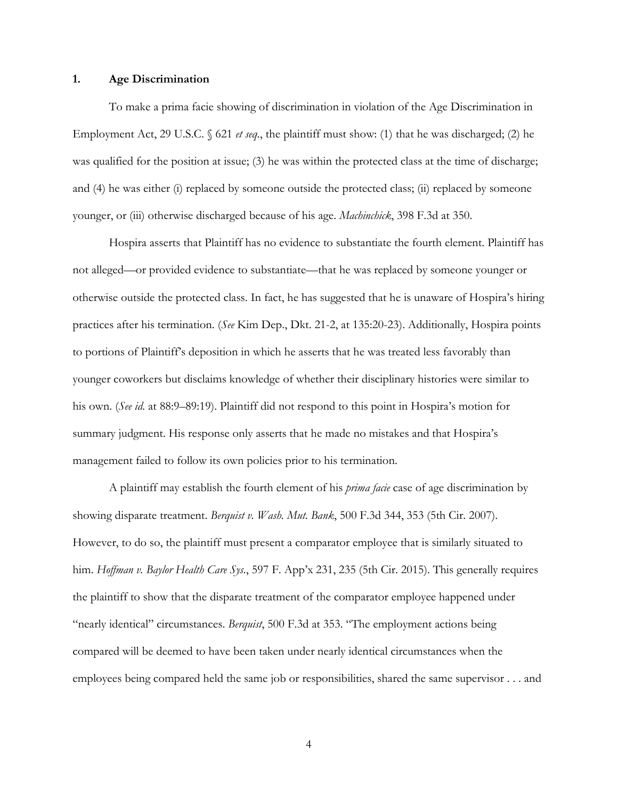#### **1. Age Discrimination**

 To make a prima facie showing of discrimination in violation of the Age Discrimination in Employment Act, 29 U.S.C. § 621 *et seq.*, the plaintiff must show: (1) that he was discharged; (2) he was qualified for the position at issue; (3) he was within the protected class at the time of discharge; and (4) he was either (i) replaced by someone outside the protected class; (ii) replaced by someone younger, or (iii) otherwise discharged because of his age. *Machinchick*, 398 F.3d at 350.

 Hospira asserts that Plaintiff has no evidence to substantiate the fourth element. Plaintiff has not alleged—or provided evidence to substantiate—that he was replaced by someone younger or otherwise outside the protected class. In fact, he has suggested that he is unaware of Hospira's hiring practices after his termination. (*See* Kim Dep., Dkt. 21-2, at 135:20-23). Additionally, Hospira points to portions of Plaintiff's deposition in which he asserts that he was treated less favorably than younger coworkers but disclaims knowledge of whether their disciplinary histories were similar to his own. (*See id.* at 88:9–89:19). Plaintiff did not respond to this point in Hospira's motion for summary judgment. His response only asserts that he made no mistakes and that Hospira's management failed to follow its own policies prior to his termination.

 A plaintiff may establish the fourth element of his *prima facie* case of age discrimination by showing disparate treatment. *Berquist v. Wash. Mut. Bank*, 500 F.3d 344, 353 (5th Cir. 2007). However, to do so, the plaintiff must present a comparator employee that is similarly situated to him. *Hoffman v. Baylor Health Care Sys.*, 597 F. App'x 231, 235 (5th Cir. 2015). This generally requires the plaintiff to show that the disparate treatment of the comparator employee happened under "nearly identical" circumstances. *Berquist*, 500 F.3d at 353. "The employment actions being compared will be deemed to have been taken under nearly identical circumstances when the employees being compared held the same job or responsibilities, shared the same supervisor . . . and

4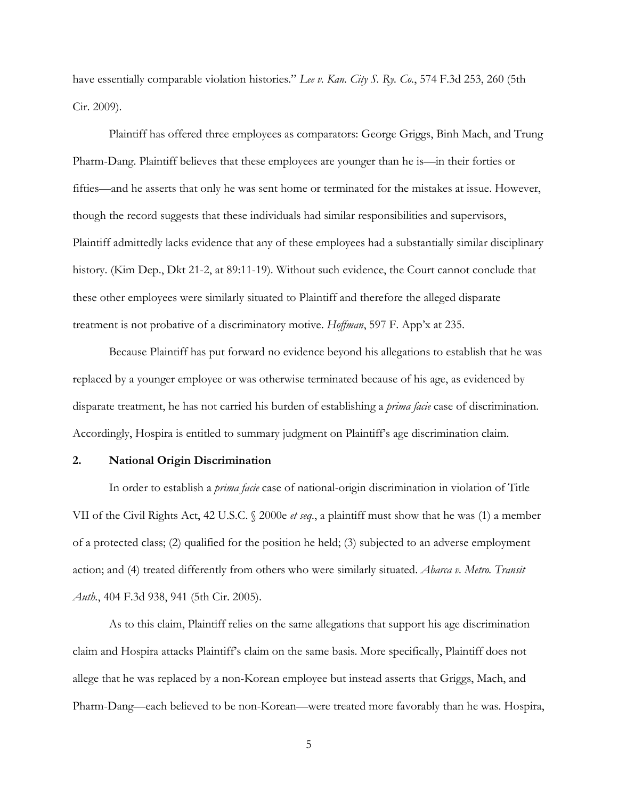have essentially comparable violation histories." *Lee v. Kan. City S. Ry. Co.*, 574 F.3d 253, 260 (5th Cir. 2009).

Plaintiff has offered three employees as comparators: George Griggs, Binh Mach, and Trung Pharm-Dang. Plaintiff believes that these employees are younger than he is—in their forties or fifties—and he asserts that only he was sent home or terminated for the mistakes at issue. However, though the record suggests that these individuals had similar responsibilities and supervisors, Plaintiff admittedly lacks evidence that any of these employees had a substantially similar disciplinary history. (Kim Dep., Dkt 21-2, at 89:11-19). Without such evidence, the Court cannot conclude that these other employees were similarly situated to Plaintiff and therefore the alleged disparate treatment is not probative of a discriminatory motive. *Hoffman*, 597 F. App'x at 235.

Because Plaintiff has put forward no evidence beyond his allegations to establish that he was replaced by a younger employee or was otherwise terminated because of his age, as evidenced by disparate treatment, he has not carried his burden of establishing a *prima facie* case of discrimination. Accordingly, Hospira is entitled to summary judgment on Plaintiff's age discrimination claim.

### **2. National Origin Discrimination**

 In order to establish a *prima facie* case of national-origin discrimination in violation of Title VII of the Civil Rights Act, 42 U.S.C. § 2000e *et seq.*, a plaintiff must show that he was (1) a member of a protected class; (2) qualified for the position he held; (3) subjected to an adverse employment action; and (4) treated differently from others who were similarly situated. *Abarca v. Metro. Transit Auth.*, 404 F.3d 938, 941 (5th Cir. 2005).

 As to this claim, Plaintiff relies on the same allegations that support his age discrimination claim and Hospira attacks Plaintiff's claim on the same basis. More specifically, Plaintiff does not allege that he was replaced by a non-Korean employee but instead asserts that Griggs, Mach, and Pharm-Dang—each believed to be non-Korean—were treated more favorably than he was. Hospira,

5